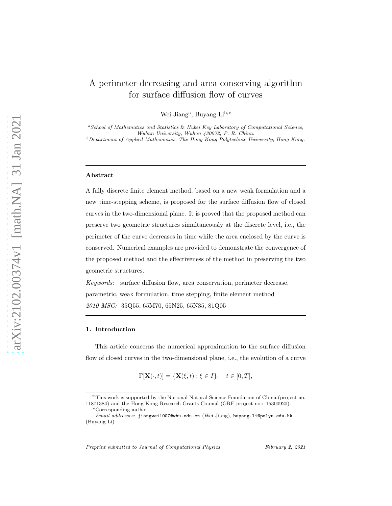# A perimeter-decreasing and area-conserving algorithm for surface diffusion flow of curves

Wei Jiang<sup>a</sup>, Buyang Li<sup>b,\*</sup>

<sup>a</sup>*School of Mathematics and Statistics* & *Hubei Key Laboratory of Computational Science, Wuhan University, Wuhan 430072, P. R. China.* <sup>b</sup>*Department of Applied Mathematics, The Hong Kong Polytechnic University, Hong Kong.*

#### Abstract

A fully discrete finite element method, based on a new weak formulation and a new time-stepping scheme, is proposed for the surface diffusion flow of closed curves in the two-dimensional plane. It is proved that the proposed method can preserve two geometric structures simultaneously at the discrete level, i.e., the perimeter of the curve decreases in time while the area enclosed by the curve is conserved. Numerical examples are provided to demonstrate the convergence of the proposed method and the effectiveness of the method in preserving the two geometric structures.

Keywords: surface diffusion flow, area conservation, perimeter decrease, parametric, weak formulation, time stepping, finite element method 2010 MSC: 35Q55, 65M70, 65N25, 65N35, 81Q05

### 1. Introduction

This article concerns the numerical approximation to the surface diffusion flow of closed curves in the two-dimensional plane, i.e., the evolution of a curve

$$
\Gamma[\mathbf{X}(\cdot,t)] = \{\mathbf{X}(\xi,t) : \xi \in I\}, \quad t \in [0,T],
$$

*Preprint submitted to Journal of Computational Physics February 2, 2021*

<sup>✩</sup>This work is supported by the National Natural Science Foundation of China (project no. 11871384) and the Hong Kong Research Grants Council (GRF project no.: 15300920).

<sup>∗</sup>Corresponding author

*Email addresses:* jiangwei1007@whu.edu.cn (Wei Jiang), buyang.li@polyu.edu.hk (Buyang Li)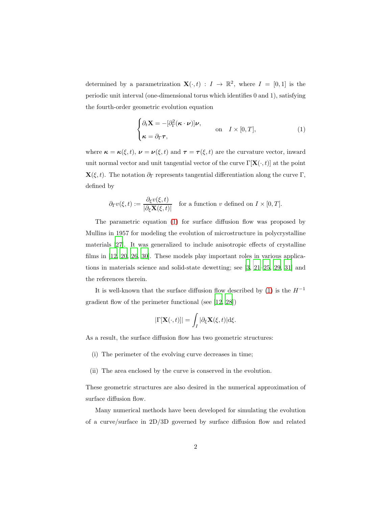determined by a parametrization  $\mathbf{X}(\cdot,t) : I \to \mathbb{R}^2$ , where  $I = [0,1]$  is the periodic unit interval (one-dimensional torus which identifies 0 and 1), satisfying the fourth-order geometric evolution equation

<span id="page-1-0"></span>
$$
\begin{cases} \partial_t \mathbf{X} = -[\partial_{\Gamma}^2(\boldsymbol{\kappa} \cdot \boldsymbol{\nu})] \boldsymbol{\nu}, \\ \boldsymbol{\kappa} = \partial_{\Gamma} \boldsymbol{\tau}, \end{cases} \quad \text{on} \quad I \times [0, T], \tag{1}
$$

where  $\kappa = \kappa(\xi, t)$ ,  $\nu = \nu(\xi, t)$  and  $\tau = \tau(\xi, t)$  are the curvature vector, inward unit normal vector and unit tangential vector of the curve  $\Gamma[\mathbf{X}(\cdot,t)]$  at the point **X**( $\xi, t$ ). The notation  $\partial_{\Gamma}$  represents tangential differentiation along the curve Γ, defined by

$$
\partial_{\Gamma}v(\xi,t) := \frac{\partial_{\xi}v(\xi,t)}{|\partial_{\xi}\mathbf{X}(\xi,t)|} \quad \text{for a function } v \text{ defined on } I \times [0,T].
$$

The parametric equation [\(1\)](#page-1-0) for surface diffusion flow was proposed by Mullins in 1957 for modeling the evolution of microstructure in polycrystalline materials [\[27\]](#page-17-0). It was generalized to include anisotropic effects of crystalline films in [\[12,](#page-16-0) [20,](#page-16-1) [26,](#page-17-1) [30](#page-17-2)]. These models play important roles in various applications in materials science and solid-state dewetting; see [\[3](#page-15-0), [21](#page-16-2)[–25,](#page-17-3) [29](#page-17-4), [31\]](#page-17-5) and the references therein.

It is well-known that the surface diffusion flow described by [\(1\)](#page-1-0) is the  $H^{-1}\,$ gradient flow of the perimeter functional (see [\[12,](#page-16-0) [28\]](#page-17-6))

$$
|\Gamma[\mathbf{X}(\cdot,t)]| = \int_I |\partial_{\xi} \mathbf{X}(\xi,t)| \mathrm{d}\xi.
$$

As a result, the surface diffusion flow has two geometric structures:

- (i) The perimeter of the evolving curve decreases in time;
- (ii) The area enclosed by the curve is conserved in the evolution.

These geometric structures are also desired in the numerical approximation of surface diffusion flow.

Many numerical methods have been developed for simulating the evolution of a curve/surface in 2D/3D governed by surface diffusion flow and related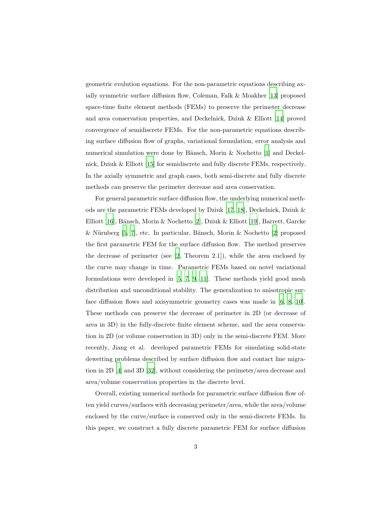geometric evolution equations. For the non-parametric equations describing axially symmetric surface diffusion flow, Coleman, Falk & Moakher [\[13](#page-16-3)] proposed space-time finite element methods (FEMs) to preserve the perimeter decrease and area conservation properties, and Deckelnick, Dziuk & Elliott [\[14\]](#page-16-4) proved convergence of semidiscrete FEMs. For the non-parametric equations describing surface diffusion flow of graphs, variational formulation, error analysis and numerical simulation were done by Bänsch, Morin  $\&$  Nochetto [\[1\]](#page-14-0) and Deckelnick, Dziuk & Elliott [\[15\]](#page-16-5) for semidiscrete and fully discrete FEMs, respectively. In the axially symmetric and graph cases, both semi-discrete and fully discrete methods can preserve the perimeter decrease and area conservation.

For general parametric surface diffusion flow, the underlying numerical methods are the parametric FEMs developed by Dziuk [\[17,](#page-16-6) [18\]](#page-16-7), Deckelnick, Dziuk & Elliott [\[16\]](#page-16-8), Bänsch, Morin & Nochetto [\[2](#page-14-1)], Dziuk & Elliott [\[19\]](#page-16-9), Barrett, Garcke & Nürnberg  $[5, 7]$  $[5, 7]$  $[5, 7]$ , etc. In particular, Bänsch, Morin & Nochetto  $[2]$  proposed the first parametric FEM for the surface diffusion flow. The method preserves the decrease of perimeter (see [\[2](#page-14-1), Theorem 2.1]), while the area enclosed by the curve may change in time. Parametric FEMs based on novel variational formulations were developed in [\[5,](#page-15-1) [7,](#page-15-2) [9](#page-15-3), [11](#page-15-4)]. These methods yield good mesh distribution and unconditional stability. The generalization to anisotropic surface diffusion flows and axisymmetric geometry cases was made in [\[6,](#page-15-5) [8,](#page-15-6) [10\]](#page-15-7). These methods can preserve the decrease of perimeter in 2D (or decrease of area in 3D) in the fully-discrete finite element scheme, and the area conservation in 2D (or volume conservation in 3D) only in the semi-discrete FEM. More recently, Jiang et al. developed parametric FEMs for simulating solid-state dewetting problems described by surface diffusion flow and contact line migration in 2D [\[4](#page-15-8)] and 3D [\[32\]](#page-18-0), without considering the perimeter/area decrease and area/volume conservation properties in the discrete level.

Overall, existing numerical methods for parametric surface diffusion flow often yield curves/surfaces with decreasing perimeter/area, while the area/volume enclosed by the curve/surface is conserved only in the semi-discrete FEMs. In this paper, we construct a fully discrete parametric FEM for surface diffusion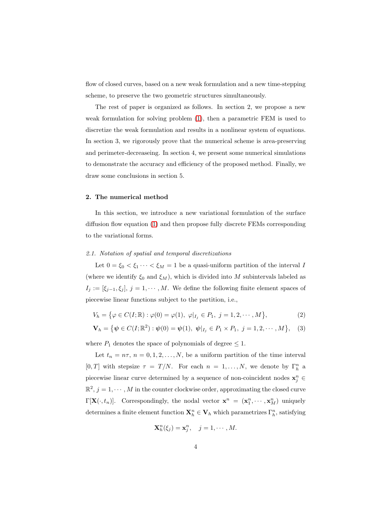flow of closed curves, based on a new weak formulation and a new time-stepping scheme, to preserve the two geometric structures simultaneously.

The rest of paper is organized as follows. In section 2, we propose a new weak formulation for solving problem [\(1\)](#page-1-0), then a parametric FEM is used to discretize the weak formulation and results in a nonlinear system of equations. In section 3, we rigorously prove that the numerical scheme is area-preserving and perimeter-decreaseing. In section 4, we present some numerical simulations to demonstrate the accuracy and efficiency of the proposed method. Finally, we draw some conclusions in section 5.

## 2. The numerical method

In this section, we introduce a new variational formulation of the surface diffusion flow equation [\(1\)](#page-1-0) and then propose fully discrete FEMs corresponding to the variational forms.

## 2.1. Notation of spatial and temporal discretizations

Let  $0 = \xi_0 < \xi_1 \cdots < \xi_M = 1$  be a quasi-uniform partition of the interval I (where we identify  $\xi_0$  and  $\xi_M$ ), which is divided into M subintervals labeled as  $I_j := [\xi_{j-1}, \xi_j], j = 1, \cdots, M.$  We define the following finite element spaces of piecewise linear functions subject to the partition, i.e.,

$$
V_h = \{ \varphi \in C(I; \mathbb{R}) : \varphi(0) = \varphi(1), \varphi|_{I_j} \in P_1, j = 1, 2, \cdots, M \},
$$
 (2)

$$
\mathbf{V}_h = \{ \psi \in C(I; \mathbb{R}^2) : \psi(0) = \psi(1), \ \psi|_{I_j} \in P_1 \times P_1, \ j = 1, 2, \cdots, M \}, \quad (3)
$$

where  $P_1$  denotes the space of polynomials of degree  $\leq 1$ .

Let  $t_n = n\tau$ ,  $n = 0, 1, 2, ..., N$ , be a uniform partition of the time interval [0, T] with stepsize  $\tau = T/N$ . For each  $n = 1, ..., N$ , we denote by  $\Gamma_h^n$  a piecewise linear curve determined by a sequence of non-coincident nodes  $\mathbf{x}_j^n \in \mathbb{R}$  $\mathbb{R}^2$ ,  $j = 1, \cdots, M$  in the counter clockwise order, approximating the closed curve  $\Gamma[\mathbf{X}(\cdot, t_n)]$ . Correspondingly, the nodal vector  $\mathbf{x}^n = (\mathbf{x}_1^n, \dots, \mathbf{x}_M^n)$  uniquely determines a finite element function  $\mathbf{X}_h^n \in \mathbf{V}_h$  which parametrizes  $\Gamma_h^n$ , satisfying

$$
\mathbf{X}_h^n(\xi_j) = \mathbf{x}_j^n, \quad j = 1, \cdots, M.
$$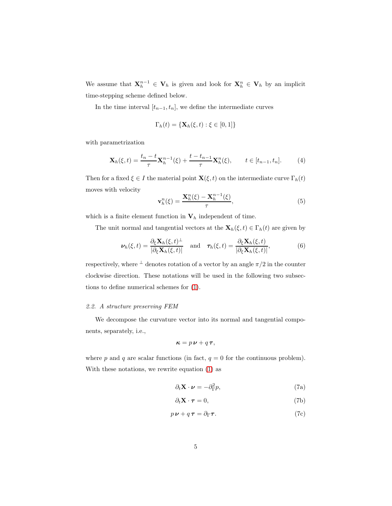We assume that  $\mathbf{X}_h^{n-1} \in \mathbf{V}_h$  is given and look for  $\mathbf{X}_h^n \in \mathbf{V}_h$  by an implicit time-stepping scheme defined below.

In the time interval  $[t_{n-1}, t_n]$ , we define the intermediate curves

$$
\Gamma_h(t) = \{ \mathbf{X}_h(\xi, t) : \xi \in [0, 1] \}
$$

with parametrization

$$
\mathbf{X}_h(\xi, t) = \frac{t_n - t}{\tau} \mathbf{X}_h^{n-1}(\xi) + \frac{t - t_{n-1}}{\tau} \mathbf{X}_h^n(\xi), \qquad t \in [t_{n-1}, t_n].
$$
 (4)

Then for a fixed  $\xi \in I$  the material point  $\mathbf{X}(\xi, t)$  on the intermediate curve  $\Gamma_h(t)$ moves with velocity

<span id="page-4-1"></span>
$$
\mathbf{v}_h^n(\xi) = \frac{\mathbf{X}_h^n(\xi) - \mathbf{X}_h^{n-1}(\xi)}{\tau},\tag{5}
$$

which is a finite element function in  $V_h$  independent of time.

The unit normal and tangential vectors at the  $\mathbf{X}_h(\xi, t) \in \Gamma_h(t)$  are given by

$$
\nu_h(\xi, t) = \frac{\partial_{\xi} \mathbf{X}_h(\xi, t)^{\perp}}{|\partial_{\xi} \mathbf{X}_h(\xi, t)|} \quad \text{and} \quad \tau_h(\xi, t) = \frac{\partial_{\xi} \mathbf{X}_h(\xi, t)}{|\partial_{\xi} \mathbf{X}_h(\xi, t)|},\tag{6}
$$

respectively, where  $\perp$  denotes rotation of a vector by an angle  $\pi/2$  in the counter clockwise direction. These notations will be used in the following two subsections to define numerical schemes for [\(1\)](#page-1-0).

## 2.2. A structure preserving FEM

We decompose the curvature vector into its normal and tangential components, separately, i.e.,

<span id="page-4-0"></span>
$$
\kappa = p\,\nu + q\,\tau,
$$

where p and q are scalar functions (in fact,  $q = 0$  for the continuous problem). With these notations, we rewrite equation [\(1\)](#page-1-0) as

$$
\partial_t \mathbf{X} \cdot \boldsymbol{\nu} = -\partial_{\Gamma}^2 p,\tag{7a}
$$

$$
\partial_t \mathbf{X} \cdot \boldsymbol{\tau} = 0,\tag{7b}
$$

$$
p\,\mathbf{\nu} + q\,\mathbf{\tau} = \partial_{\Gamma}\mathbf{\tau}.\tag{7c}
$$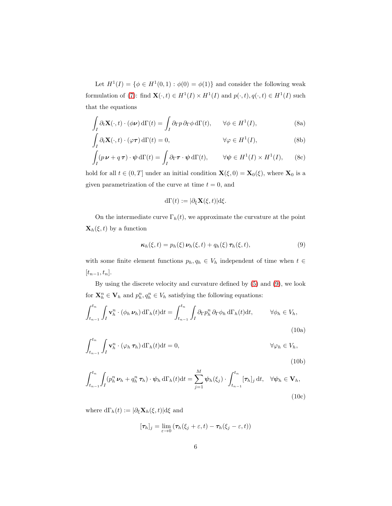Let  $H^1(I) = \{ \phi \in H^1(0,1) : \phi(0) = \phi(1) \}$  and consider the following weak formulation of [\(7\)](#page-4-0): find  $\mathbf{X}(\cdot,t) \in H^1(I) \times H^1(I)$  and  $p(\cdot,t), q(\cdot,t) \in H^1(I)$  such that the equations

$$
\int_{I} \partial_t \mathbf{X}(\cdot, t) \cdot (\phi \mathbf{\nu}) \, d\Gamma(t) = \int_{I} \partial_{\Gamma} p \, \partial_{\Gamma} \phi \, d\Gamma(t), \qquad \forall \phi \in H^1(I), \tag{8a}
$$

$$
\int_{I} \partial_{t} \mathbf{X}(\cdot, t) \cdot (\varphi \tau) d\Gamma(t) = 0, \qquad \forall \varphi \in H^{1}(I), \qquad (8b)
$$

$$
\int_{I} (p \nu + q \tau) \cdot \psi \, d\Gamma(t) = \int_{I} \partial_{\Gamma} \tau \cdot \psi \, d\Gamma(t), \qquad \forall \psi \in H^{1}(I) \times H^{1}(I), \qquad (8c)
$$

hold for all  $t \in (0, T]$  under an initial condition  $\mathbf{X}(\xi, 0) = \mathbf{X}_0(\xi)$ , where  $\mathbf{X}_0$  is a given parametrization of the curve at time  $t = 0$ , and

$$
d\Gamma(t) := |\partial_{\xi} \mathbf{X}(\xi, t)| d\xi.
$$

On the intermediate curve  $\Gamma_h(t)$ , we approximate the curvature at the point  $\mathbf{X}_h(\xi, t)$  by a function

<span id="page-5-3"></span><span id="page-5-2"></span><span id="page-5-0"></span>
$$
\kappa_h(\xi, t) = p_h(\xi) \, \nu_h(\xi, t) + q_h(\xi) \, \tau_h(\xi, t), \tag{9}
$$

with some finite element functions  $p_h, q_h \in V_h$  independent of time when  $t \in$  $[t_{n-1}, t_n].$ 

By using the discrete velocity and curvature defined by [\(5\)](#page-4-1) and [\(9\)](#page-5-0), we look for  $\mathbf{X}_h^n \in \mathbf{V}_h$  and  $p_h^n, q_h^n \in V_h$  satisfying the following equations:

$$
\int_{t_{n-1}}^{t_n} \int_I \mathbf{v}_h^n \cdot (\phi_h \, \boldsymbol{\nu}_h) \, d\Gamma_h(t) dt = \int_{t_{n-1}}^{t_n} \int_I \partial_{\Gamma} p_h^n \, \partial_{\Gamma} \phi_h \, d\Gamma_h(t) dt, \qquad \forall \phi_h \in V_h,
$$
\n(10a)

$$
\int_{t_{n-1}}^{t_n} \int_I \mathbf{v}_h^n \cdot (\varphi_h \, \pmb{\tau}_h) \, d\Gamma_h(t) dt = 0, \qquad \forall \varphi_h \in V_h,
$$
\n(10b)

$$
\int_{t_{n-1}}^{t_n} \int_I (p_h^n \mathbf{\nu}_h + q_h^n \mathbf{\tau}_h) \cdot \psi_h \, d\Gamma_h(t) dt = \sum_{j=1}^M \psi_h(\xi_j) \cdot \int_{t_{n-1}}^{t_n} [\mathbf{\tau}_h]_j dt, \quad \forall \psi_h \in \mathbf{V}_h,
$$
\n(10c)

where  $d\Gamma_h(t) := |\partial_{\xi} \mathbf{X}_h(\xi, t)| d\xi$  and

<span id="page-5-4"></span><span id="page-5-1"></span>
$$
[\tau_h]_j = \lim_{\varepsilon \to 0} (\tau_h(\xi_j + \varepsilon, t) - \tau_h(\xi_j - \varepsilon, t))
$$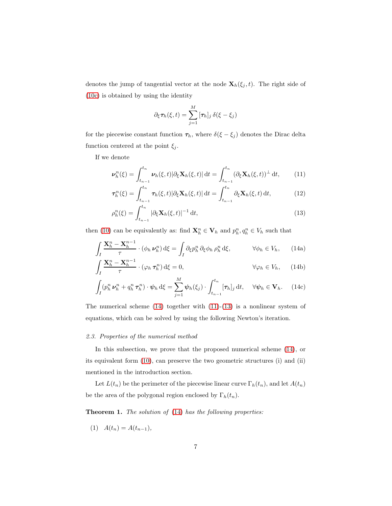denotes the jump of tangential vector at the node  $\mathbf{X}_h(\xi_j,t)$ . The right side of [\(10c\)](#page-5-1) is obtained by using the identity

<span id="page-6-2"></span><span id="page-6-1"></span><span id="page-6-0"></span>
$$
\partial_{\xi} \tau_h(\xi, t) = \sum_{j=1}^M [\tau_h]_j \, \delta(\xi - \xi_j)
$$

for the piecewise constant function  $\tau_h$ , where  $\delta(\xi - \xi_j)$  denotes the Dirac delta function centered at the point  $\xi_j$ .

If we denote

$$
\nu_h^n(\xi) = \int_{t_{n-1}}^{t_n} \nu_h(\xi, t) |\partial_{\xi} \mathbf{X}_h(\xi, t)| dt = \int_{t_{n-1}}^{t_n} (\partial_{\xi} \mathbf{X}_h(\xi, t))^{\perp} dt, \qquad (11)
$$

$$
\boldsymbol{\tau}_h^n(\xi) = \int_{t_{n-1}}^{t_n} \boldsymbol{\tau}_h(\xi, t) |\partial_{\xi} \mathbf{X}_h(\xi, t)| \, \mathrm{d}t = \int_{t_{n-1}}^{t_n} \partial_{\xi} \mathbf{X}_h(\xi, t) \, \mathrm{d}t,\tag{12}
$$

$$
\rho_h^n(\xi) = \int_{t_{n-1}}^{t_n} |\partial_{\xi} \mathbf{X}_h(\xi, t)|^{-1} \, \mathrm{d}t,\tag{13}
$$

then [\(10\)](#page-5-2) can be equivalently as: find  $\mathbf{X}_h^n \in \mathbf{V}_h$  and  $p_h^n, q_h^n \in V_h$  such that

$$
\int_{I} \frac{\mathbf{X}_{h}^{n} - \mathbf{X}_{h}^{n-1}}{\tau} \cdot (\phi_{h} \,\mathbf{v}_{h}^{n}) \,d\xi = \int_{I} \partial_{\xi} p_{h}^{n} \, \partial_{\xi} \phi_{h} \, \rho_{h}^{n} \,d\xi, \qquad \forall \phi_{h} \in V_{h}, \qquad (14a)
$$

$$
\int_{I} \frac{\mathbf{X}_{h}^{n} - \mathbf{X}_{h}^{n-1}}{\tau} \cdot (\varphi_{h} \tau_{h}^{n}) d\xi = 0, \qquad \forall \varphi_{h} \in V_{h}, \qquad (14b)
$$

$$
\int_{I} (p_h^n \mathbf{\nu}_h^n + q_h^n \boldsymbol{\tau}_h^n) \cdot \boldsymbol{\psi}_h \, d\xi = \sum_{j=1}^M \boldsymbol{\psi}_h(\xi_j) \cdot \int_{t_{n-1}}^{t_n} [\boldsymbol{\tau}_h]_j \, dt, \quad \forall \boldsymbol{\psi}_h \in \mathbf{V}_h. \tag{14c}
$$

The numerical scheme  $(14)$  together with  $(11)-(13)$  $(11)-(13)$  is a nonlinear system of equations, which can be solved by using the following Newton's iteration.

## 2.3. Properties of the numerical method

In this subsection, we prove that the proposed numerical scheme [\(14\)](#page-6-0), or its equivalent form [\(10\)](#page-5-2), can preserve the two geometric structures (i) and (ii) mentioned in the introduction section.

Let  $L(t_n)$  be the perimeter of the piecewise linear curve  $\Gamma_h(t_n)$ , and let  $A(t_n)$ be the area of the polygonal region enclosed by  $\Gamma_h(t_n)$ .

Theorem 1. The solution of [\(14\)](#page-6-0) has the following properties:

(1) 
$$
A(t_n) = A(t_{n-1}),
$$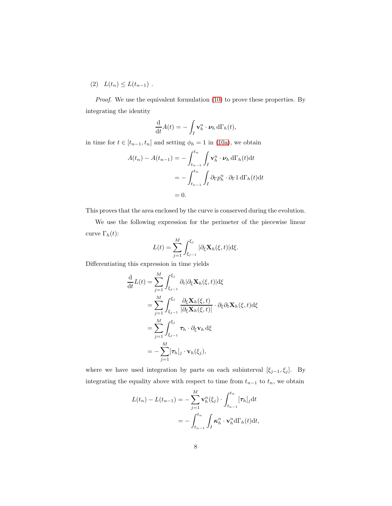(2)  $L(t_n) \leq L(t_{n-1})$ .

Proof. We use the equivalent formulation [\(10\)](#page-5-2) to prove these properties. By integrating the identity

$$
\frac{\mathrm{d}}{\mathrm{d}t}A(t)=-\int_I \mathbf{v}_h^n \cdot \boldsymbol{\nu}_h \,\mathrm{d}\Gamma_h(t),
$$

in time for  $t \in [t_{n-1}, t_n]$  and setting  $\phi_h = 1$  in [\(10a\)](#page-5-3), we obtain

$$
A(t_n) - A(t_{n-1}) = -\int_{t_{n-1}}^{t_n} \int_I \mathbf{v}_h^n \cdot \boldsymbol{\nu}_h d\Gamma_h(t) dt
$$
  
= 
$$
- \int_{t_{n-1}}^{t_n} \int_I \partial_{\Gamma} p_h^n \cdot \partial_{\Gamma} 1 d\Gamma_h(t) dt
$$
  
= 0.

This proves that the area enclosed by the curve is conserved during the evolution.

We use the following expression for the perimeter of the piecewise linear curve  $\Gamma_h(t)$ :

$$
L(t) = \sum_{j=1}^{M} \int_{\xi_{j-1}}^{\xi_j} |\partial_{\xi} \mathbf{X}_h(\xi, t)| \, d\xi.
$$

Differentiating this expression in time yields

$$
\frac{\mathrm{d}}{\mathrm{d}t}L(t) = \sum_{j=1}^{M} \int_{\xi_{j-1}}^{\xi_j} \partial_t |\partial_{\xi} \mathbf{X}_h(\xi, t)| \mathrm{d}\xi
$$
\n
$$
= \sum_{j=1}^{M} \int_{\xi_{j-1}}^{\xi_j} \frac{\partial_{\xi} \mathbf{X}_h(\xi, t)}{|\partial_{\xi} \mathbf{X}_h(\xi, t)|} \cdot \partial_{\xi} \partial_t \mathbf{X}_h(\xi, t) \mathrm{d}\xi
$$
\n
$$
= \sum_{j=1}^{M} \int_{\xi_{j-1}}^{\xi_j} \boldsymbol{\tau}_h \cdot \partial_{\xi} \mathbf{v}_h \mathrm{d}\xi
$$
\n
$$
= -\sum_{j=1}^{M} [\boldsymbol{\tau}_h]_j \cdot \mathbf{v}_h(\xi_j),
$$

where we have used integration by parts on each subinterval  $[\xi_{j-1}, \xi_j]$ . By integrating the equality above with respect to time from  $t_{n-1}$  to  $t_n$ , we obtain

$$
L(t_n) - L(t_{n-1}) = -\sum_{j=1}^{M} \mathbf{v}_h^n(\xi_j) \cdot \int_{t_{n-1}}^{t_n} [\tau_h]_j dt
$$
  
= 
$$
- \int_{t_{n-1}}^{t_n} \int_I \boldsymbol{\kappa}_h^n \cdot \mathbf{v}_h^n d\Gamma_h(t) dt,
$$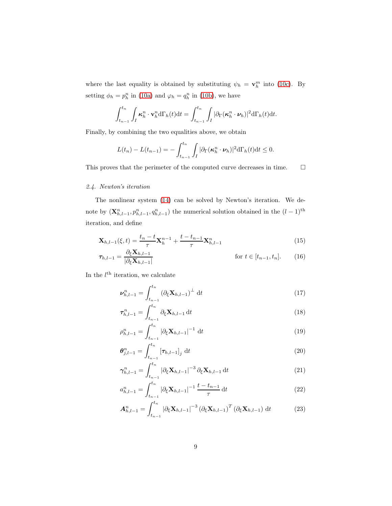where the last equality is obtained by substituting  $\psi_h = \mathbf{v}_h^m$  into [\(10c\)](#page-5-1). By setting  $\phi_h = p_h^n$  in [\(10a\)](#page-5-3) and  $\varphi_h = q_h^n$  in [\(10b\)](#page-5-4), we have

$$
\int_{t_{n-1}}^{t_n} \int_I \kappa_h^n \cdot \mathbf{v}_h^n d\Gamma_h(t) dt = \int_{t_{n-1}}^{t_n} \int_I |\partial_{\Gamma}(\kappa_h^n \cdot \boldsymbol{\nu}_h)|^2 d\Gamma_h(t) dt.
$$

Finally, by combining the two equalities above, we obtain

$$
L(t_n)-L(t_{n-1})=-\int_{t_{n-1}}^{t_n}\int_I|\partial_{\Gamma}(\boldsymbol{\kappa}_h^n\cdot\boldsymbol{\nu}_h)|^2d\Gamma_h(t)dt\leq 0.
$$

This proves that the perimeter of the computed curve decreases in time.  $\qquad \Box$ 

# 2.4. Newton's iteration

The nonlinear system [\(14\)](#page-6-0) can be solved by Newton's iteration. We denote by  $(\mathbf{X}_{h,l-1}^n, p_{h,l-1}^n, q_{h,l-1}^n)$  the numerical solution obtained in the  $(l-1)$ <sup>th</sup> iteration, and define

$$
\mathbf{X}_{h,l-1}(\xi,t) = \frac{t_n - t}{\tau} \mathbf{X}_h^{n-1} + \frac{t - t_{n-1}}{\tau} \mathbf{X}_{h,l-1}^n
$$
(15)

$$
\tau_{h,l-1} = \frac{\partial_{\xi} \mathbf{X}_{h,l-1}}{|\partial_{\xi} \mathbf{X}_{h,l-1}|} \quad \text{for } t \in [t_{n-1}, t_n]. \tag{16}
$$

In the  $l^{\text{th}}$  iteration, we calculate

<span id="page-8-0"></span>
$$
\nu_{h,l-1}^{n} = \int_{t_{n-1}}^{t_n} (\partial_{\xi} \mathbf{X}_{h,l-1})^{\perp} dt
$$
 (17)

$$
\tau_{h,l-1}^{n} = \int_{t_{n-1}}^{t_n} \partial_{\xi} \mathbf{X}_{h,l-1} dt
$$
 (18)

$$
\rho_{h,l-1}^n = \int_{t_{n-1}}^{t_n} |\partial_{\xi} \mathbf{X}_{h,l-1}|^{-1} dt
$$
\n(19)

$$
\theta_{j,l-1}^n = \int_{t_{n-1}}^{t_n} [\tau_{h,l-1}]_j \, \mathrm{d}t \tag{20}
$$

$$
\gamma_{h,l-1}^{n} = \int_{t_{n-1}}^{t_n} |\partial_{\xi} \mathbf{X}_{h,l-1}|^{-3} \partial_{\xi} \mathbf{X}_{h,l-1} dt
$$
 (21)

<span id="page-8-1"></span>
$$
a_{h,l-1}^n = \int_{t_{n-1}}^{t_n} |\partial_{\xi} \mathbf{X}_{h,l-1}|^{-1} \frac{t - t_{n-1}}{\tau} dt
$$
 (22)

$$
\mathbf{A}_{h,l-1}^{n} = \int_{t_{n-1}}^{t_n} |\partial_{\xi} \mathbf{X}_{h,l-1}|^{-3} \left(\partial_{\xi} \mathbf{X}_{h,l-1}\right)^{T} \left(\partial_{\xi} \mathbf{X}_{h,l-1}\right) dt
$$
 (23)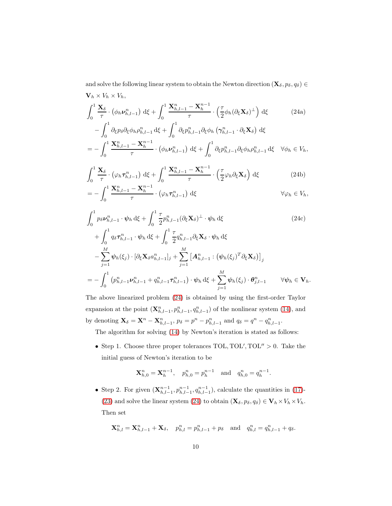<span id="page-9-0"></span>and solve the following linear system to obtain the Newton direction  $(\mathbf{X}_{\delta}, p_{\delta}, q_{\delta}) \in$  $\mathbf{V}_h \times V_h \times V_h$ 

$$
\int_0^1 \frac{\mathbf{X}_{\delta}}{\tau} \cdot (\phi_h \mathbf{v}_{h,l-1}^n) \, d\xi + \int_0^1 \frac{\mathbf{X}_{h,l-1}^n - \mathbf{X}_h^{n-1}}{\tau} \cdot \left(\frac{\tau}{2} \phi_h (\partial_{\xi} \mathbf{X}_{\delta})^\perp\right) \, d\xi \tag{24a}
$$

$$
- \int_0^1 \frac{\partial_{\xi} p_{\delta} \partial_{\xi} \phi_h \rho_{h,l-1}^n \, d\xi + \int_0^1 \partial_{\xi} p_{h,l-1}^n \partial_{\xi} \phi_h \left( \gamma_{h,l-1}^n \cdot \partial_{\xi} \mathbf{X}_{\delta} \right) \, d\xi
$$
  
= 
$$
- \int_0^1 \frac{\mathbf{X}_{h,l-1}^n - \mathbf{X}_h^{n-1}}{\tau} \cdot \left( \phi_h \nu_{h,l-1}^n \right) \, d\xi + \int_0^1 \partial_{\xi} p_{h,l-1}^n \partial_{\xi} \phi_h \rho_{h,l-1}^n \, d\xi \quad \forall \phi_h \in V_h,
$$

$$
\int_0^1 \frac{\mathbf{X}_{\delta}}{\tau} \cdot (\varphi_h \tau_{h,l-1}^n) \, d\xi + \int_0^1 \frac{\mathbf{X}_{h,l-1}^n - \mathbf{X}_h^{n-1}}{\tau} \cdot \left(\frac{\tau}{2} \varphi_h \partial_{\xi} \mathbf{X}_{\delta}\right) \, d\xi \tag{24b}
$$

$$
= -\int_0^1 \frac{\mathbf{A}_{h,l-1}^n - \mathbf{A}_h^n}{\tau} \cdot (\varphi_h \tau_{h,l-1}^n) \, \mathrm{d}\xi \qquad \qquad \forall \varphi_h \in V_h,
$$

$$
\int_{0}^{1} p_{\delta} \nu_{h,l-1}^{n} \cdot \psi_{h} d\xi + \int_{0}^{1} \frac{\tau}{2} p_{h,l-1}^{n} (\partial_{\xi} \mathbf{X}_{\delta})^{\perp} \cdot \psi_{h} d\xi
$$
\n
$$
+ \int_{0}^{1} q_{\delta} \tau_{h,l-1}^{n} \cdot \psi_{h} d\xi + \int_{0}^{1} \frac{\tau}{2} q_{h,l-1}^{n} \partial_{\xi} \mathbf{X}_{\delta} \cdot \psi_{h} d\xi
$$
\n
$$
- \sum_{j=1}^{M} \psi_{h}(\xi_{j}) \cdot [\partial_{\xi} \mathbf{X}_{\delta} a_{h,l-1}^{n}]_{j} + \sum_{j=1}^{M} [\mathbf{A}_{h,l-1}^{n} : (\psi_{h}(\xi_{j})^{T} \partial_{\xi} \mathbf{X}_{\delta})]_{j}
$$
\n
$$
= - \int_{0}^{1} (p_{h,l-1}^{n} \nu_{h,l-1}^{n} + q_{h,l-1}^{n} \tau_{h,l-1}^{n}) \cdot \psi_{h} d\xi + \sum_{j=1}^{M} \psi_{h}(\xi_{j}) \cdot \boldsymbol{\theta}_{j,l-1}^{n} \qquad \forall \psi_{h} \in \mathbf{V}_{h}.
$$
\n(24c)

The above linearized problem [\(24\)](#page-9-0) is obtained by using the first-order Taylor expansion at the point  $(\mathbf{X}_{h,l-1}^n, p_{h,l-1}^n, q_{h,l-1}^n)$  of the nonlinear system [\(14\)](#page-6-0), and by denoting  $\mathbf{X}_{\delta} = \mathbf{X}^n - \mathbf{X}_{h,l-1}^n$ ,  $p_{\delta} = p^n - p_{h,l-1}^n$  and  $q_{\delta} = q^n - q_{h,l-1}^n$ .

The algorithm for solving [\(14\)](#page-6-0) by Newton's iteration is stated as follows:

• Step 1. Choose three proper tolerances  $TOL, TOL', TOL'' > 0$ . Take the initial guess of Newton's iteration to be

$$
\mathbf{X}_{h,0}^n = \mathbf{X}_h^{n-1}, \quad p_{h,0}^n = p_h^{n-1} \quad \text{and} \quad q_{h,0}^n = q_h^{n-1}.
$$

• Step 2. For given  $(\mathbf{X}_{h,l-1}^{n-1}, p_{h,l-1}^{n-1}, q_{h,l-1}^{n-1})$ , calculate the quantities in [\(17\)](#page-8-0)-[\(23\)](#page-8-1) and solve the linear system [\(24\)](#page-9-0) to obtain  $(\mathbf{X}_{\delta}, p_{\delta}, q_{\delta}) \in \mathbf{V}_{h} \times V_{h} \times V_{h}$ . Then set

$$
\mathbf{X}_{h,l}^{n} = \mathbf{X}_{h,l-1}^{n} + \mathbf{X}_{\delta}, \quad p_{h,l}^{n} = p_{h,l-1}^{n} + p_{\delta} \quad \text{and} \quad q_{h,l}^{n} = q_{h,l-1}^{n} + q_{\delta}.
$$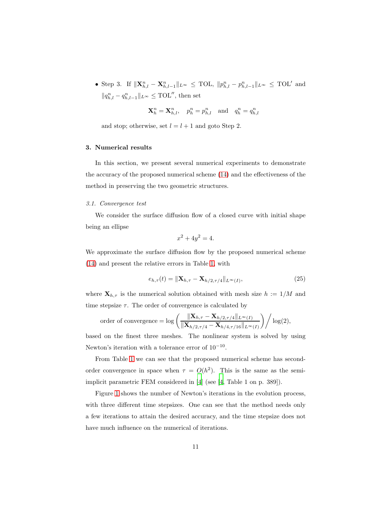• Step 3. If  $\|\mathbf{X}_{h,l}^n - \mathbf{X}_{h,l-1}^n\|_{L^{\infty}} \leq \text{TOL}, \|p_{h,l}^n - p_{h,l-1}^n\|_{L^{\infty}} \leq \text{TOL}'$  and  $||q_{h,l}^n - q_{h,l-1}^n||_{L^{\infty}} \leq \text{TOL}''$ , then set

$$
\mathbf{X}_h^n = \mathbf{X}_{h,l}^n, \quad p_h^n = p_{h,l}^n \quad \text{and} \quad q_h^n = q_{h,l}^n
$$

and stop; otherwise, set  $l = l + 1$  and goto Step 2.

## 3. Numerical results

In this section, we present several numerical experiments to demonstrate the accuracy of the proposed numerical scheme [\(14\)](#page-6-0) and the effectiveness of the method in preserving the two geometric structures.

## 3.1. Convergence test

We consider the surface diffusion flow of a closed curve with initial shape being an ellipse

$$
x^2 + 4y^2 = 4.
$$

We approximate the surface diffusion flow by the proposed numerical scheme [\(14\)](#page-6-0) and present the relative errors in Table [1,](#page-11-0) with

$$
e_{h,\tau}(t) = \|\mathbf{X}_{h,\tau} - \mathbf{X}_{h/2,\tau/4}\|_{L^{\infty}(I)},
$$
\n(25)

where  $\mathbf{X}_{h,\tau}$  is the numerical solution obtained with mesh size  $h := 1/M$  and time stepsize  $\tau$ . The order of convergence is calculated by

order of convergence = 
$$
\log \left( \frac{\|\mathbf{X}_{h,\tau} - \mathbf{X}_{h/2,\tau/4}\|_{L^{\infty}(I)}}{\|\mathbf{X}_{h/2,\tau/4} - \mathbf{X}_{h/4,\tau/16}\|_{L^{\infty}(I)}} \right) / \log(2),
$$

based on the finest three meshes. The nonlinear system is solved by using Newton's iteration with a tolerance error of 10<sup>−</sup><sup>10</sup> .

From Table [1](#page-11-0) we can see that the proposed numerical scheme has secondorder convergence in space when  $\tau = O(h^2)$ . This is the same as the semiimplicit parametric FEM considered in [\[4\]](#page-15-8) (see [\[4](#page-15-8), Table 1 on p. 389]).

Figure [1](#page-11-1) shows the number of Newton's iterations in the evolution process, with three different time stepsizes. One can see that the method needs only a few iterations to attain the desired accuracy, and the time stepsize does not have much influence on the numerical of iterations.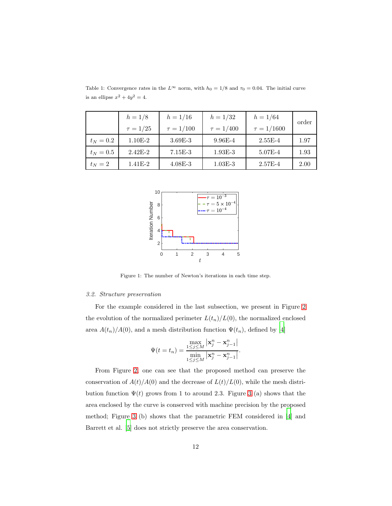|             | $h = 1/8$     | $h = 1/16$     | $h = 1/32$     | $h = 1/64$      | order |
|-------------|---------------|----------------|----------------|-----------------|-------|
|             | $\tau = 1/25$ | $\tau = 1/100$ | $\tau = 1/400$ | $\tau = 1/1600$ |       |
| $t_N = 0.2$ | $1.10E-2$     | $3.69E-3$      | $9.96E-4$      | $2.55E-4$       | 1.97  |
| $t_N=0.5$   | $2.42E-2$     | $7.15E-3$      | $1.93E-3$      | 5.07E-4         | 1.93  |
| $t_N=2$     | $1.41E-2$     | $4.08E - 3$    | $1.03E-3$      | $2.57E-4$       | 2.00  |

<span id="page-11-0"></span>Table 1: Convergence rates in the  $L^{\infty}$  norm, with  $h_0 = 1/8$  and  $\tau_0 = 0.04$ . The initial curve is an ellipse  $x^2 + 4y^2 = 4$ .



<span id="page-11-1"></span>Figure 1: The number of Newton's iterations in each time step.

#### 3.2. Structure preservation

For the example considered in the last subsection, we present in Figure [2](#page-12-0) the evolution of the normalized perimeter  $L(t_n)/L(0)$ , the normalized enclosed area  $A(t_n)/A(0)$ , and a mesh distribution function  $\Psi(t_n)$ , defined by [\[4](#page-15-8)]

$$
\Psi(t=t_n) = \frac{\max\limits_{1\leq j\leq M} |\mathbf{x}_j^n - \mathbf{x}_{j-1}^n|}{\min\limits_{1\leq j\leq M} |\mathbf{x}_j^n - \mathbf{x}_{j-1}^n|}.
$$

From Figure [2,](#page-12-0) one can see that the proposed method can preserve the conservation of  $A(t)/A(0)$  and the decrease of  $L(t)/L(0)$ , while the mesh distribution function  $\Psi(t)$  grows from 1 to around 2.3. Figure [3](#page-12-1) (a) shows that the area enclosed by the curve is conserved with machine precision by the proposed method; Figure [3](#page-12-1) (b) shows that the parametric FEM considered in [\[4](#page-15-8)] and Barrett et al. [\[5\]](#page-15-1) does not strictly preserve the area conservation.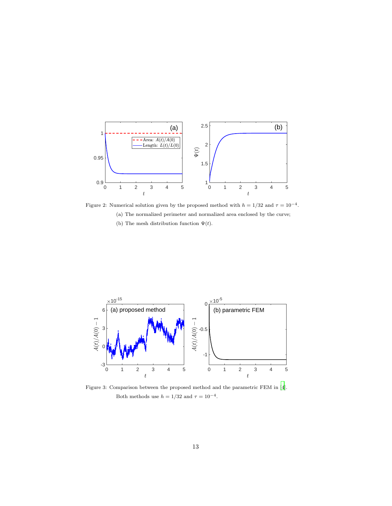

<span id="page-12-0"></span>Figure 2: Numerical solution given by the proposed method with  $h = 1/32$  and  $\tau = 10^{-4}$ . (a) The normalized perimeter and normalized area enclosed by the curve; (b) The mesh distribution function  $\Psi(t)$ .



<span id="page-12-1"></span>Figure 3: Comparison between the proposed method and the parametric FEM in [\[4](#page-15-8)]. Both methods use  $h = 1/32$  and  $\tau = 10^{-4}$ .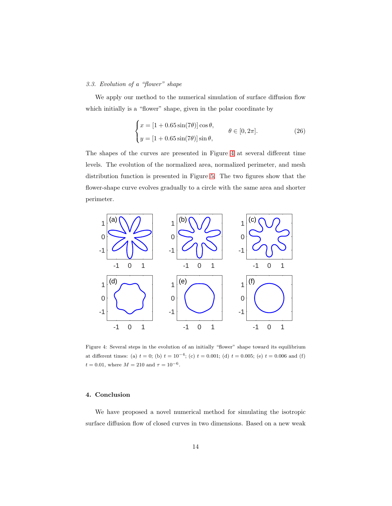# 3.3. Evolution of a "flower" shape

We apply our method to the numerical simulation of surface diffusion flow which initially is a "flower" shape, given in the polar coordinate by

$$
\begin{cases}\nx = [1 + 0.65 \sin(7\theta)] \cos \theta, \\
y = [1 + 0.65 \sin(7\theta)] \sin \theta,\n\end{cases} \quad \theta \in [0, 2\pi].
$$
\n(26)

The shapes of the curves are presented in Figure [4](#page-13-0) at several different time levels. The evolution of the normalized area, normalized perimeter, and mesh distribution function is presented in Figure [5.](#page-14-2) The two figures show that the flower-shape curve evolves gradually to a circle with the same area and shorter perimeter.



<span id="page-13-0"></span>Figure 4: Several steps in the evolution of an initially "flower" shape toward its equilibrium at different times: (a)  $t = 0$ ; (b)  $t = 10^{-4}$ ; (c)  $t = 0.001$ ; (d)  $t = 0.005$ ; (e)  $t = 0.006$  and (f)  $t = 0.01$ , where  $M = 210$  and  $\tau = 10^{-6}$ .

## 4. Conclusion

We have proposed a novel numerical method for simulating the isotropic surface diffusion flow of closed curves in two dimensions. Based on a new weak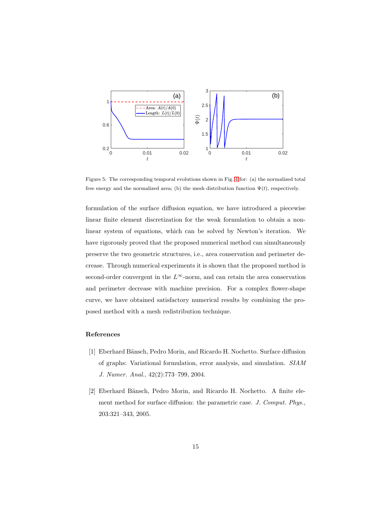

<span id="page-14-2"></span>Figure 5: The corresponding temporal evolutions shown in Fig. [4](#page-13-0) for: (a) the normalized total free energy and the normalized area; (b) the mesh distribution function  $\Psi(t)$ , respectively.

formulation of the surface diffusion equation, we have introduced a piecewise linear finite element discretization for the weak formulation to obtain a nonlinear system of equations, which can be solved by Newton's iteration. We have rigorously proved that the proposed numerical method can simultaneously preserve the two geometric structures, i.e., area conservation and perimeter decrease. Through numerical experiments it is shown that the proposed method is second-order convergent in the  $L^{\infty}$ -norm, and can retain the area conservation and perimeter decrease with machine precision. For a complex flower-shape curve, we have obtained satisfactory numerical results by combining the proposed method with a mesh redistribution technique.

## References

- <span id="page-14-0"></span>[1] Eberhard Bänsch, Pedro Morin, and Ricardo H. Nochetto. Surface diffusion of graphs: Variational formulation, error analysis, and simulation. SIAM J. Numer. Anal., 42(2):773–799, 2004.
- <span id="page-14-1"></span>[2] Eberhard Bänsch, Pedro Morin, and Ricardo H. Nochetto. A finite element method for surface diffusion: the parametric case. J. Comput. Phys., 203:321–343, 2005.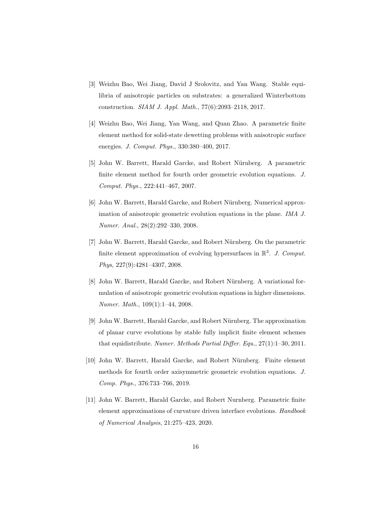- <span id="page-15-0"></span>[3] Weizhu Bao, Wei Jiang, David J Srolovitz, and Yan Wang. Stable equilibria of anisotropic particles on substrates: a generalized Winterbottom construction. SIAM J. Appl. Math., 77(6):2093–2118, 2017.
- <span id="page-15-8"></span>[4] Weizhu Bao, Wei Jiang, Yan Wang, and Quan Zhao. A parametric finite element method for solid-state dewetting problems with anisotropic surface energies. J. Comput. Phys., 330:380–400, 2017.
- <span id="page-15-1"></span>[5] John W. Barrett, Harald Garcke, and Robert Nürnberg. A parametric finite element method for fourth order geometric evolution equations. J. Comput. Phys., 222:441–467, 2007.
- <span id="page-15-5"></span>[6] John W. Barrett, Harald Garcke, and Robert Nürnberg. Numerical approximation of anisotropic geometric evolution equations in the plane. IMA J. Numer. Anal., 28(2):292–330, 2008.
- <span id="page-15-2"></span>[7] John W. Barrett, Harald Garcke, and Robert Nürnberg. On the parametric finite element approximation of evolving hypersurfaces in  $\mathbb{R}^3$ . J. Comput. Phys, 227(9):4281–4307, 2008.
- <span id="page-15-6"></span>[8] John W. Barrett, Harald Garcke, and Robert Nürnberg. A variational formulation of anisotropic geometric evolution equations in higher dimensions. Numer. Math., 109(1):1–44, 2008.
- <span id="page-15-3"></span>[9] John W. Barrett, Harald Garcke, and Robert N¨urnberg. The approximation of planar curve evolutions by stable fully implicit finite element schemes that equidistribute. Numer. Methods Partial Differ. Equ., 27(1):1–30, 2011.
- <span id="page-15-7"></span>[10] John W. Barrett, Harald Garcke, and Robert Nürnberg. Finite element methods for fourth order axisymmetric geometric evolution equations. J. Comp. Phys., 376:733–766, 2019.
- <span id="page-15-4"></span>[11] John W. Barrett, Harald Garcke, and Robert Nurnberg. Parametric finite element approximations of curvature driven interface evolutions. Handbook of Numerical Analysis, 21:275–423, 2020.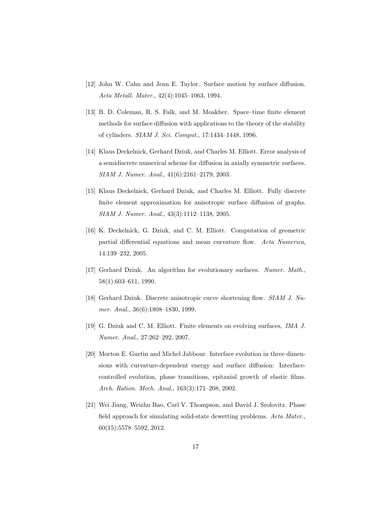- <span id="page-16-0"></span>[12] John W. Cahn and Jean E. Taylor. Surface motion by surface diffusion. Acta Metall. Mater., 42(4):1045–1063, 1994.
- <span id="page-16-3"></span>[13] B. D. Coleman, R. S. Falk, and M. Moakher. Space–time finite element methods for surface diffusion with applications to the theory of the stability of cylinders. SIAM J. Sci. Comput., 17:1434–1448, 1996.
- <span id="page-16-4"></span>[14] Klaus Deckelnick, Gerhard Dziuk, and Charles M. Elliott. Error analysis of a semidiscrete numerical scheme for diffusion in axially symmetric surfaces. SIAM J. Numer. Anal., 41(6):2161–2179, 2003.
- <span id="page-16-5"></span>[15] Klaus Deckelnick, Gerhard Dziuk, and Charles M. Elliott. Fully discrete finite element approximation for anisotropic surface diffusion of graphs. SIAM J. Numer. Anal., 43(3):1112–1138, 2005.
- <span id="page-16-8"></span>[16] K. Deckelnick, G. Dziuk, and C. M. Elliott. Computation of geometric partial differential equations and mean curvature flow. Acta Numerica, 14:139–232, 2005.
- <span id="page-16-6"></span>[17] Gerhard Dziuk. An algorithm for evolutionary surfaces. Numer. Math., 58(1):603–611, 1990.
- <span id="page-16-7"></span>[18] Gerhard Dziuk. Discrete anisotropic curve shortening flow. SIAM J. Numer. Anal., 36(6):1808–1830, 1999.
- <span id="page-16-9"></span>[19] G. Dziuk and C. M. Elliott. Finite elements on evolving surfaces, IMA J. Numer. Anal., 27:262–292, 2007.
- <span id="page-16-1"></span>[20] Morton E. Gurtin and Michel Jabbour. Interface evolution in three dimensions with curvature-dependent energy and surface diffusion: Interfacecontrolled evolution, phase transitions, epitaxial growth of elastic films. Arch. Ration. Mech. Anal., 163(3):171–208, 2002.
- <span id="page-16-2"></span>[21] Wei Jiang, Weizhu Bao, Carl V. Thompson, and David J. Srolovitz. Phase field approach for simulating solid-state dewetting problems. Acta Mater., 60(15):5578–5592, 2012.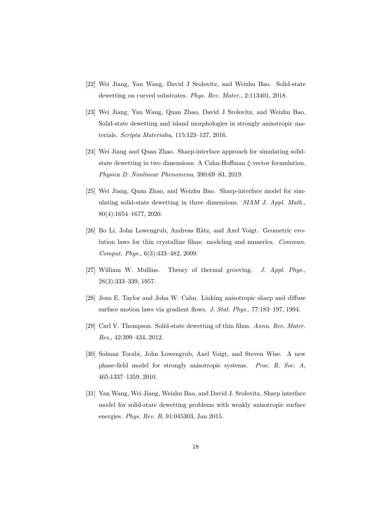- [22] Wei Jiang, Yan Wang, David J Srolovitz, and Weizhu Bao. Solid-state dewetting on curved substrates. Phys. Rev. Mater., 2:113401, 2018.
- [23] Wei Jiang, Yan Wang, Quan Zhao, David J Srolovitz, and Weizhu Bao. Solid-state dewetting and island morphologies in strongly anisotropic materials. Scripta Materialia, 115:123–127, 2016.
- [24] Wei Jiang and Quan Zhao. Sharp-interface approach for simulating solidstate dewetting in two dimensions: A Cahn-Hoffman ξ-vector formulation. Physica D: Nonlinear Phenomena, 390:69–83, 2019.
- <span id="page-17-3"></span>[25] Wei Jiang, Quan Zhao, and Weizhu Bao. Sharp-interface model for simulating solid-state dewetting in three dimensions. SIAM J. Appl. Math., 80(4):1654–1677, 2020.
- <span id="page-17-1"></span>[26] Bo Li, John Lowengrub, Andreas Rätz, and Axel Voigt. Geometric evolution laws for thin crystalline films: modeling and numerics. Commun. Comput. Phys., 6(3):433–482, 2009.
- <span id="page-17-0"></span>[27] William W. Mullins. Theory of thermal grooving. J. Appl. Phys., 28(3):333–339, 1957.
- <span id="page-17-6"></span>[28] Jean E. Taylor and John W. Cahn. Linking anisotropic sharp and diffuse surface motion laws via gradient flows. J. Stat. Phys., 77:183–197, 1994.
- <span id="page-17-4"></span>[29] Carl V. Thompson. Solid-state dewetting of thin films. Annu. Rev. Mater. Res., 42:399–434, 2012.
- <span id="page-17-2"></span>[30] Solmaz Torabi, John Lowengrub, Axel Voigt, and Steven Wise. A new phase-field model for strongly anisotropic systems. Proc. R. Soc. A, 465:1337–1359, 2010.
- <span id="page-17-5"></span>[31] Yan Wang, Wei Jiang, Weizhu Bao, and David J. Srolovitz. Sharp interface model for solid-state dewetting problems with weakly anisotropic surface energies. *Phys. Rev. B*, 91:045303, Jan 2015.